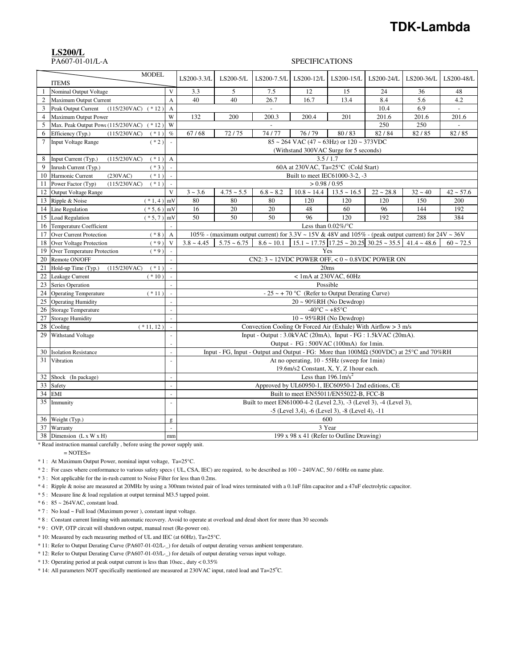# **TDK-Lambda**

#### **LS200/L**

### PA607-01-01/L-A SPECIFICATIONS

|                | <b>MODEL</b><br><b>ITEMS</b>                    |                | LS200-3.3/L     | LS200-5/L     | LS200-7.5/L                                                                                              | LS200-12/L                                                | LS200-15/L                         | LS200-24/L                                                                             | LS200-36/L | LS200-48/L     |
|----------------|-------------------------------------------------|----------------|-----------------|---------------|----------------------------------------------------------------------------------------------------------|-----------------------------------------------------------|------------------------------------|----------------------------------------------------------------------------------------|------------|----------------|
|                | Nominal Output Voltage                          | $\mathbf{V}$   | 3.3             | 5             | 7.5                                                                                                      | 12                                                        | 15                                 | 24                                                                                     | 36         | 48             |
| $\overline{c}$ | Maximum Output Current                          | A              | 40              | 40            | 26.7                                                                                                     | 16.7                                                      | 13.4                               | 8.4                                                                                    | 5.6        | 4.2            |
| 3              | Peak Output Current<br>(115/230VAC)<br>$(* 12)$ | A              |                 |               | $\sim$                                                                                                   |                                                           |                                    | 10.4                                                                                   | 6.9        | $\blacksquare$ |
| $\overline{4}$ | Maximum Output Power                            | W              | 132             | 200           | 200.3                                                                                                    | 200.4                                                     | 201                                | 201.6                                                                                  | 201.6      | 201.6          |
| 5              | Max. Peak Output Powe (115/230VAC)<br>$(* 12)$  | W              |                 |               | $\sim$                                                                                                   |                                                           |                                    | 250                                                                                    | 250        |                |
| 6              | Efficiency (Typ.)<br>(115/230VAC)<br>$(* 1)$    | $\%$           | 67/68           | 72/75         | 74/77                                                                                                    | 76/79                                                     | 80/83                              | 82/84                                                                                  | 82/85      | 82/85          |
| 7              | <b>Input Voltage Range</b><br>$(*2)$            |                |                 |               |                                                                                                          | $85 \sim 264$ VAC (47 $\sim 63$ Hz) or $120 \sim 373$ VDC |                                    |                                                                                        |            |                |
|                |                                                 |                |                 |               |                                                                                                          | (Withstand 300VAC Surge for 5 seconds)                    |                                    |                                                                                        |            |                |
| 8              | Input Current (Typ.)<br>(115/230VAC)<br>$(*1)$  | $\mathbf{A}$   |                 |               |                                                                                                          | 3.5/1.7                                                   |                                    |                                                                                        |            |                |
| 9              | Inrush Current (Typ.)<br>$(*3)$                 |                |                 |               |                                                                                                          | 60A at 230VAC, Ta=25°C (Cold Start)                       |                                    |                                                                                        |            |                |
| 10             | Harmonic Current<br>(230VAC)<br>$(*1)$          | $\sim$         |                 |               |                                                                                                          | Built to meet IEC61000-3-2, -3                            |                                    |                                                                                        |            |                |
| 11             | Power Factor (Typ)<br>(115/230VAC)<br>$(*1)$    | $\sim$         |                 |               |                                                                                                          | > 0.98 / 0.95                                             |                                    |                                                                                        |            |                |
| 12             | Output Voltage Range                            | V              | $3 - 3.6$       | $4.75 - 5.5$  | $6.8 \sim 8.2$                                                                                           | $10.8 \sim 14.4$                                          | $13.5 \sim 16.5$                   | $22 \sim 28.8$                                                                         | $32 - 40$  | $42 \sim 57.6$ |
| 13             | Ripple & Noise<br>$(* 1, 4)$ mV                 |                | 80              | 80            | 80                                                                                                       | 120                                                       | 120                                | 120                                                                                    | 150        | 200            |
| 14             | Line Regulation<br>$(* 5, 6)$ mV                |                | 16              | 20            | 20                                                                                                       | 48                                                        | 60                                 | 96                                                                                     | 144        | 192            |
| 15             | Load Regulation<br>$(* 5, 7)$                   | mV             | 50              | 50            | 50                                                                                                       | 96                                                        | 120                                | 192                                                                                    | 288        | 384            |
| 16             | Temperature Coefficient                         | $\overline{a}$ |                 |               |                                                                                                          | Less than $0.02\%$ /°C                                    |                                    |                                                                                        |            |                |
| 17             | <b>Over Current Protection</b><br>$(* 8)$       | $\mathbf{A}$   |                 |               | 105% - (maximum output current) for 3.3V ~ 15V & 48V and 105% - (peak output current) for $24V \sim 36V$ |                                                           |                                    |                                                                                        |            |                |
| 18             | Over Voltage Protection<br>$(*9)$               | V              | $3.8 \sim 4.45$ | $5.75 - 6.75$ | $8.6 \sim 10.1$                                                                                          |                                                           |                                    | $15.1 \approx 17.75$ $ 17.25 \approx 20.25$ $ 30.25 \approx 35.5$ $ 41.4 \approx 48.6$ |            | $60 \sim 72.5$ |
| 19             | Over Temperature Protection<br>$(*9)$           |                |                 |               |                                                                                                          | Yes                                                       |                                    |                                                                                        |            |                |
| 20             | Remote ON/OFF                                   | $\omega$       |                 |               | CN2: $3 \sim 12$ VDC POWER OFF, < $0 \sim 0.8$ VDC POWER ON                                              |                                                           |                                    |                                                                                        |            |                |
| 21             | Hold-up Time (Typ.)<br>$(*1)$<br>(115/230VAC)   | $\mathcal{L}$  |                 |               |                                                                                                          |                                                           | 20ms                               |                                                                                        |            |                |
| 22             | Leakage Current<br>$(*10)$                      |                |                 |               |                                                                                                          | $< 1$ mA at 230VAC, 60Hz                                  |                                    |                                                                                        |            |                |
| 23             | Series Operation                                | $\mathcal{L}$  |                 |               |                                                                                                          | Possible                                                  |                                    |                                                                                        |            |                |
| 24             | <b>Operating Temperature</b><br>$(* 11)$        | $\bar{z}$      |                 |               |                                                                                                          | - 25 ~ + 70 °C (Refer to Output Derating Curve)           |                                    |                                                                                        |            |                |
| 25             | <b>Operating Humidity</b>                       |                |                 |               |                                                                                                          |                                                           | $20 \sim 90\% RH$ (No Dewdrop)     |                                                                                        |            |                |
| 26             | <b>Storage Temperature</b>                      | ×.             |                 |               |                                                                                                          |                                                           | $-40^{\circ}$ C ~ +85 $^{\circ}$ C |                                                                                        |            |                |
| 27             | <b>Storage Humidity</b>                         |                |                 |               |                                                                                                          |                                                           | $10 \sim 95\% RH$ (No Dewdrop)     |                                                                                        |            |                |
| 28             | $(* 11, 12)$<br>Cooling                         | $\sim$         |                 |               | Convection Cooling Or Forced Air (Exhale) With Airflow $> 3$ m/s                                         |                                                           |                                    |                                                                                        |            |                |
| 29             | Withstand Voltage                               | ÷,             |                 |               | Input - Output : $3.0$ kVAC (20mA), Input - FG : $1.5$ kVAC (20mA).                                      |                                                           |                                    |                                                                                        |            |                |
|                |                                                 |                |                 |               |                                                                                                          | Output - FG: 500VAC (100mA) for 1min.                     |                                    |                                                                                        |            |                |
| 30             | <b>Isolation Resistance</b>                     | ×.             |                 |               | Input - FG, Input - Output and Output - FG: More than 100MΩ (500VDC) at 25°C and 70%RH                   |                                                           |                                    |                                                                                        |            |                |
| 31             | Vibration                                       | ÷,             |                 |               |                                                                                                          | At no operating, 10 - 55Hz (sweep for 1min)               |                                    |                                                                                        |            |                |
|                |                                                 |                |                 |               |                                                                                                          | 19.6m/s2 Constant, X, Y, Z 1hour each.                    |                                    |                                                                                        |            |                |
| 32             | Shock (In package)                              | $\sim$         |                 |               |                                                                                                          | Less than $196.1 \text{m/s}^2$                            |                                    |                                                                                        |            |                |
| 33             | Safety                                          | ÷.             |                 |               |                                                                                                          | Approved by UL60950-1, IEC60950-1 2nd editions, CE        |                                    |                                                                                        |            |                |
| 34             | EMI                                             | $\sim$         |                 |               |                                                                                                          | Built to meet EN55011/EN55022-B, FCC-B                    |                                    |                                                                                        |            |                |
| 35             | Immunity                                        | $\bar{z}$      |                 |               | Built to meet EN61000-4-2 (Level 2,3), -3 (Level 3), -4 (Level 3),                                       |                                                           |                                    |                                                                                        |            |                |
|                |                                                 |                |                 |               |                                                                                                          | -5 (Level 3,4), -6 (Level 3), -8 (Level 4), -11           |                                    |                                                                                        |            |                |
| 36             | Weight (Typ.)                                   | g              |                 |               |                                                                                                          | 600                                                       |                                    |                                                                                        |            |                |
| 37             | Warranty                                        | $\bar{z}$      |                 |               |                                                                                                          |                                                           | 3 Year                             |                                                                                        |            |                |
|                | 38 Dimension $(L x W x H)$                      | mm             |                 |               |                                                                                                          | 199 x 98 x 41 (Refer to Outline Drawing)                  |                                    |                                                                                        |            |                |

\* Read instruction manual carefully , before using the power supply unit.

 $=$  NOTES $=$ 

\* 1 : At Maximum Output Power, nominal input voltage, Ta=25°C.

\* 2 : For cases where conformance to various safety specs ( UL, CSA, IEC) are required, to be described as 100 ~ 240VAC, 50 / 60Hz on name plate.

\* 3 : Not applicable for the in-rush current to Noise Filter for less than 0.2ms.

\* 4 : Ripple & noise are measured at 20MHz by using a 300mm twisted pair of load wires terminated with a 0.1uF film capacitor and a 47uF electrolytic capacitor.

\* 5 : Measure line & load regulation at output terminal M3.5 tapped point.

\* 6 : 85 ~ 264VAC, constant load.

\* 7 : No load ~ Full load (Maximum power ), constant input voltage.

\* 8 : Constant current limiting with automatic recovery. Avoid to operate at overload and dead short for more than 30 seconds

\* 9 : OVP, OTP circuit will shutdown output, manual reset (Re-power on).

\* 10: Measured by each measuring method of UL and IEC (at 60Hz), Ta=25°C.

\* 11: Refer to Output Derating Curve (PA607-01-02/L-\_) for details of output derating versus ambient temperature.

\* 12: Refer to Output Derating Curve (PA607-01-03/L-\_) for details of output derating versus input voltage.

\* 13: Operating period at peak output current is less than 10sec., duty < 0.35%

\* 14: All parameters NOT specifically mentioned are measured at 230VAC input, rated load and Ta=25°C.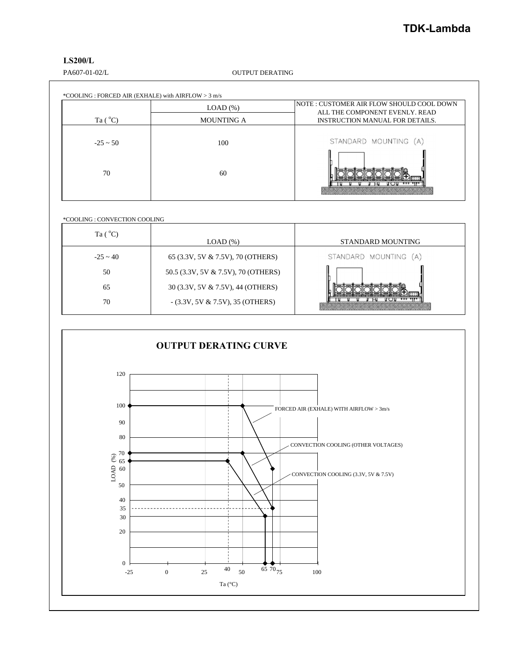## **LS200/L**

PA607-01-02/L OUTPUT DERATING

|                  | $LOAD$ $%$        | INOTE : CUSTOMER AIR FLOW SHOULD COOL DOWN<br>ALL THE COMPONENT EVENLY. READ |
|------------------|-------------------|------------------------------------------------------------------------------|
| Ta $(^{\circ}C)$ | <b>MOUNTING A</b> | <b>INSTRUCTION MANUAL FOR DETAILS.</b>                                       |
| $-25 \sim 50$    | 100               | STANDARD MOUNTING (A)                                                        |
| 70               | 60                |                                                                              |

\*COOLING : CONVECTION COOLING

| Ta $(^{\circ}C)$ | LOAD(%)                             | STANDARD MOUNTING     |
|------------------|-------------------------------------|-----------------------|
| $-25 \sim 40$    | 65 (3.3V, 5V & 7.5V), 70 (OTHERS)   | STANDARD MOUNTING (A) |
| 50               | 50.5 (3.3V, 5V & 7.5V), 70 (OTHERS) |                       |
| 65               | 30 (3.3V, 5V & 7.5V), 44 (OTHERS)   |                       |
| 70               | $-(3.3V, 5V & 7.5V), 35 (OTHERS)$   |                       |